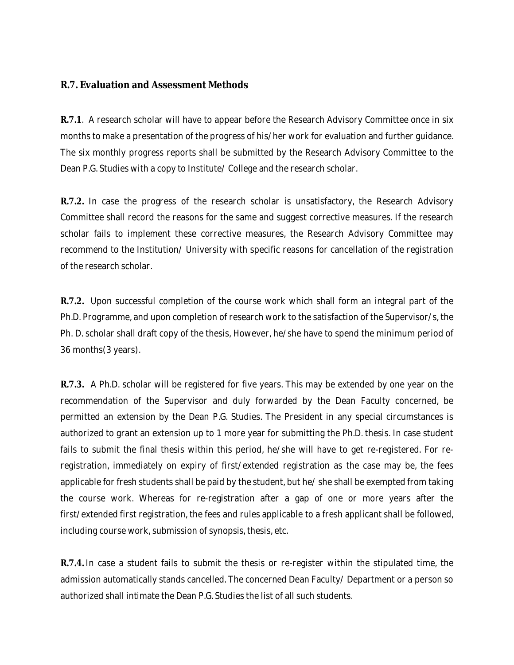## **R.7. Evaluation and Assessment Methods**

**R.7.1**. A research scholar will have to appear before the Research Advisory Committee once in six months to make a presentation of the progress of his/her work for evaluation and further guidance. The six monthly progress reports shall be submitted by the Research Advisory Committee to the Dean P.G. Studies with a copy to Institute/ College and the research scholar.

**R.7.2.** In case the progress of the research scholar is unsatisfactory, the Research Advisory Committee shall record the reasons for the same and suggest corrective measures. If the research scholar fails to implement these corrective measures, the Research Advisory Committee may recommend to the Institution/ University with specific reasons for cancellation of the registration of the research scholar.

**R.7.2.** Upon successful completion of the course work which shall form an integral part of the Ph.D. Programme, and upon completion of research work to the satisfaction of the Supervisor/s, the Ph. D. scholar shall draft copy of the thesis, However, he/she have to spend the minimum period of 36 months(3 years).

**R.7.3.** A Ph.D. scholar will be registered for five years. This may be extended by one year on the recommendation of the Supervisor and duly forwarded by the Dean Faculty concerned, be permitted an extension by the Dean P.G. Studies. The President in any special circumstances is authorized to grant an extension up to 1 more year for submitting the Ph.D. thesis. In case student fails to submit the final thesis within this period, he/she will have to get re-registered. For reregistration, immediately on expiry of first/extended registration as the case may be, the fees applicable for fresh students shall be paid by the student, but he/ she shall be exempted from taking the course work. Whereas for re-registration after a gap of one or more years after the first/extended first registration, the fees and rules applicable to a fresh applicant shall be followed, including course work, submission of synopsis, thesis, etc.

**R.7.4.** In case a student fails to submit the thesis or re-register within the stipulated time, the admission automatically stands cancelled. The concerned Dean Faculty/ Department or a person so authorized shall intimate the Dean P.G. Studies the list of all such students.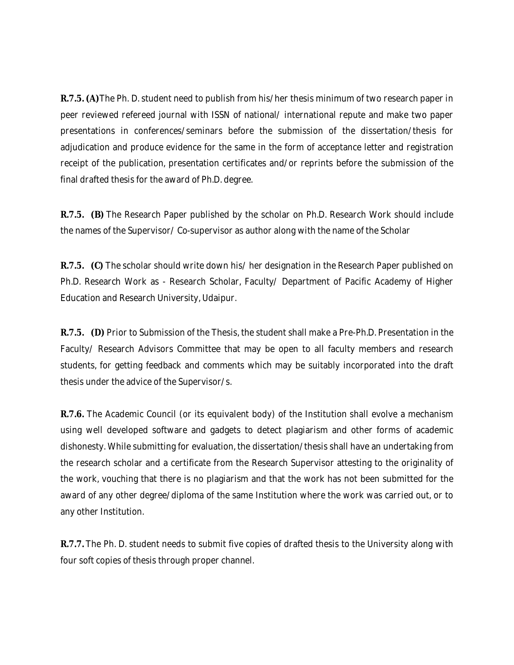**R.7.5. (A)**The Ph. D. student need to publish from his/her thesis minimum of two research paper in peer reviewed refereed journal with ISSN of national/ international repute and make two paper presentations in conferences/seminars before the submission of the dissertation/thesis for adjudication and produce evidence for the same in the form of acceptance letter and registration receipt of the publication, presentation certificates and/or reprints before the submission of the final drafted thesis for the award of Ph.D. degree.

**R.7.5. (B)** The Research Paper published by the scholar on Ph.D. Research Work should include the names of the Supervisor/ Co-supervisor as author along with the name of the Scholar

**R.7.5. (C)** The scholar should write down his/ her designation in the Research Paper published on Ph.D. Research Work as - Research Scholar, Faculty/ Department of Pacific Academy of Higher Education and Research University, Udaipur.

**R.7.5. (D)** Prior to Submission of the Thesis, the student shall make a Pre-Ph.D. Presentation in the Faculty/ Research Advisors Committee that may be open to all faculty members and research students, for getting feedback and comments which may be suitably incorporated into the draft thesis under the advice of the Supervisor/s.

**R.7.6.** The Academic Council (or its equivalent body) of the Institution shall evolve a mechanism using well developed software and gadgets to detect plagiarism and other forms of academic dishonesty. While submitting for evaluation, the dissertation/thesis shall have an undertaking from the research scholar and a certificate from the Research Supervisor attesting to the originality of the work, vouching that there is no plagiarism and that the work has not been submitted for the award of any other degree/diploma of the same Institution where the work was carried out, or to any other Institution.

**R.7.7.** The Ph. D. student needs to submit five copies of drafted thesis to the University along with four soft copies of thesis through proper channel.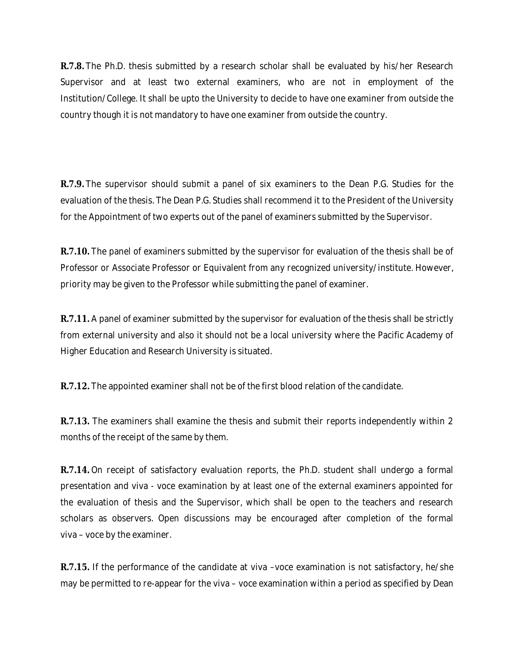**R.7.8.** The Ph.D. thesis submitted by a research scholar shall be evaluated by his/her Research Supervisor and at least two external examiners, who are not in employment of the Institution/College. It shall be upto the University to decide to have one examiner from outside the country though it is not mandatory to have one examiner from outside the country.

**R.7.9.** The supervisor should submit a panel of six examiners to the Dean P.G. Studies for the evaluation of the thesis. The Dean P.G. Studies shall recommend it to the President of the University for the Appointment of two experts out of the panel of examiners submitted by the Supervisor.

**R.7.10.** The panel of examiners submitted by the supervisor for evaluation of the thesis shall be of Professor or Associate Professor or Equivalent from any recognized university/institute. However, priority may be given to the Professor while submitting the panel of examiner.

**R.7.11.** A panel of examiner submitted by the supervisor for evaluation of the thesis shall be strictly from external university and also it should not be a local university where the Pacific Academy of Higher Education and Research University is situated.

**R.7.12.** The appointed examiner shall not be of the first blood relation of the candidate.

**R.7.13.** The examiners shall examine the thesis and submit their reports independently within 2 months of the receipt of the same by them.

**R.7.14.** On receipt of satisfactory evaluation reports, the Ph.D. student shall undergo a formal presentation and viva - voce examination by at least one of the external examiners appointed for the evaluation of thesis and the Supervisor, which shall be open to the teachers and research scholars as observers. Open discussions may be encouraged after completion of the formal viva – voce by the examiner.

**R.7.15.** If the performance of the candidate at viva –voce examination is not satisfactory, he/she may be permitted to re-appear for the viva – voce examination within a period as specified by Dean